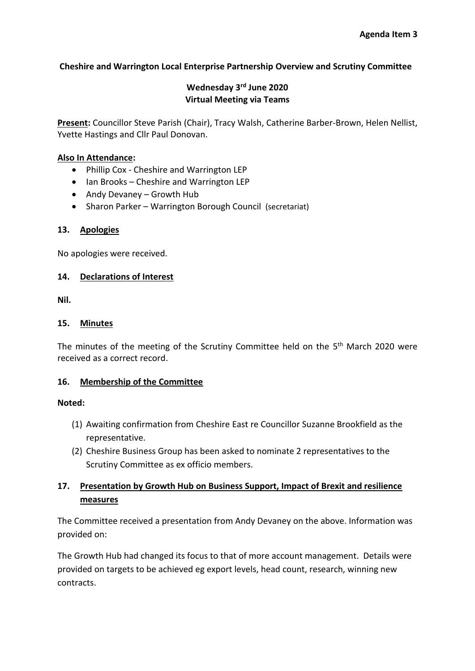## **Cheshire and Warrington Local Enterprise Partnership Overview and Scrutiny Committee**

# **Wednesday 3rd June 2020 Virtual Meeting via Teams**

**Present:** Councillor Steve Parish (Chair), Tracy Walsh, Catherine Barber-Brown, Helen Nellist, Yvette Hastings and Cllr Paul Donovan.

### **Also In Attendance:**

- Phillip Cox Cheshire and Warrington LEP
- Ian Brooks Cheshire and Warrington LEP
- Andy Devaney Growth Hub
- Sharon Parker Warrington Borough Council (secretariat)

## **13. Apologies**

No apologies were received.

## **14. Declarations of Interest**

**Nil.** 

### **15. Minutes**

The minutes of the meeting of the Scrutiny Committee held on the 5<sup>th</sup> March 2020 were received as a correct record.

### **16. Membership of the Committee**

### **Noted:**

- (1) Awaiting confirmation from Cheshire East re Councillor Suzanne Brookfield as the representative.
- (2) Cheshire Business Group has been asked to nominate 2 representatives to the Scrutiny Committee as ex officio members.

# **17. Presentation by Growth Hub on Business Support, Impact of Brexit and resilience measures**

The Committee received a presentation from Andy Devaney on the above. Information was provided on:

The Growth Hub had changed its focus to that of more account management. Details were provided on targets to be achieved eg export levels, head count, research, winning new contracts.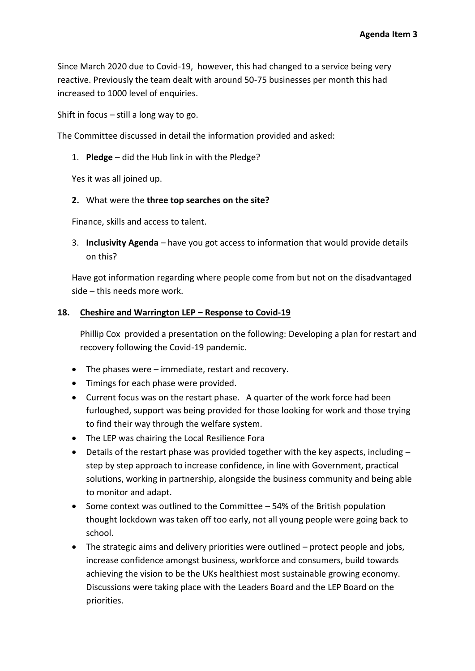Since March 2020 due to Covid-19, however, this had changed to a service being very reactive. Previously the team dealt with around 50-75 businesses per month this had increased to 1000 level of enquiries.

Shift in focus – still a long way to go.

The Committee discussed in detail the information provided and asked:

1. **Pledge** – did the Hub link in with the Pledge?

Yes it was all joined up.

### **2.** What were the **three top searches on the site?**

Finance, skills and access to talent.

3. **Inclusivity Agenda** – have you got access to information that would provide details on this?

Have got information regarding where people come from but not on the disadvantaged side – this needs more work.

### **18. Cheshire and Warrington LEP – Response to Covid-19**

Phillip Cox provided a presentation on the following: Developing a plan for restart and recovery following the Covid-19 pandemic.

- The phases were immediate, restart and recovery.
- Timings for each phase were provided.
- Current focus was on the restart phase. A quarter of the work force had been furloughed, support was being provided for those looking for work and those trying to find their way through the welfare system.
- The LEP was chairing the Local Resilience Fora
- Details of the restart phase was provided together with the key aspects, including step by step approach to increase confidence, in line with Government, practical solutions, working in partnership, alongside the business community and being able to monitor and adapt.
- Some context was outlined to the Committee 54% of the British population thought lockdown was taken off too early, not all young people were going back to school.
- The strategic aims and delivery priorities were outlined protect people and jobs, increase confidence amongst business, workforce and consumers, build towards achieving the vision to be the UKs healthiest most sustainable growing economy. Discussions were taking place with the Leaders Board and the LEP Board on the priorities.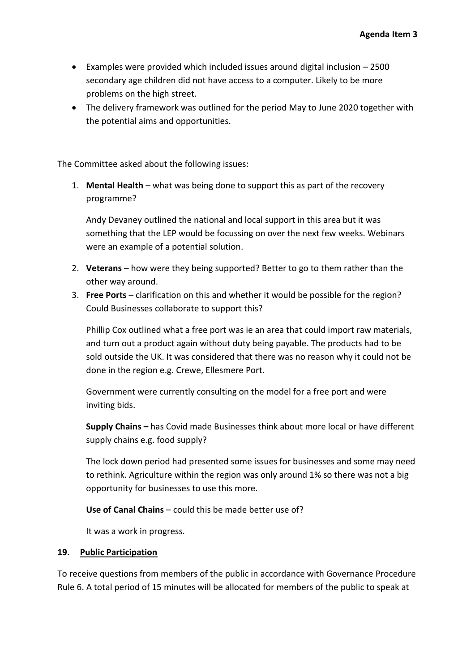- Examples were provided which included issues around digital inclusion 2500 secondary age children did not have access to a computer. Likely to be more problems on the high street.
- The delivery framework was outlined for the period May to June 2020 together with the potential aims and opportunities.

The Committee asked about the following issues:

1. **Mental Health** – what was being done to support this as part of the recovery programme?

Andy Devaney outlined the national and local support in this area but it was something that the LEP would be focussing on over the next few weeks. Webinars were an example of a potential solution.

- 2. **Veterans** how were they being supported? Better to go to them rather than the other way around.
- 3. **Free Ports** clarification on this and whether it would be possible for the region? Could Businesses collaborate to support this?

Phillip Cox outlined what a free port was ie an area that could import raw materials, and turn out a product again without duty being payable. The products had to be sold outside the UK. It was considered that there was no reason why it could not be done in the region e.g. Crewe, Ellesmere Port.

Government were currently consulting on the model for a free port and were inviting bids.

**Supply Chains –** has Covid made Businesses think about more local or have different supply chains e.g. food supply?

The lock down period had presented some issues for businesses and some may need to rethink. Agriculture within the region was only around 1% so there was not a big opportunity for businesses to use this more.

**Use of Canal Chains** – could this be made better use of?

It was a work in progress.

### **19. Public Participation**

To receive questions from members of the public in accordance with Governance Procedure Rule 6. A total period of 15 minutes will be allocated for members of the public to speak at